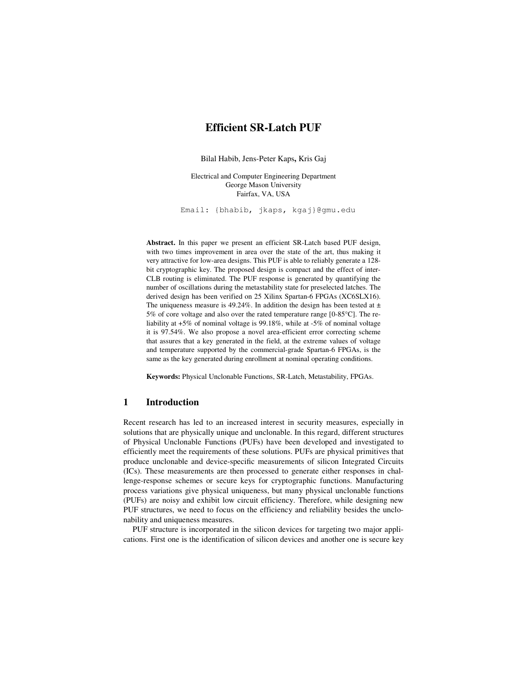# **Efficient SR-Latch PUF**

Bilal Habib, Jens-Peter Kaps**,** Kris Gaj

Electrical and Computer Engineering Department George Mason University Fairfax, VA, USA

Email: {bhabib, jkaps, kgaj}@gmu.edu

**Abstract.** In this paper we present an efficient SR-Latch based PUF design, with two times improvement in area over the state of the art, thus making it very attractive for low-area designs. This PUF is able to reliably generate a 128 bit cryptographic key. The proposed design is compact and the effect of inter-CLB routing is eliminated. The PUF response is generated by quantifying the number of oscillations during the metastability state for preselected latches. The derived design has been verified on 25 Xilinx Spartan-6 FPGAs (XC6SLX16). The uniqueness measure is 49.24%. In addition the design has been tested at  $\pm$ 5% of core voltage and also over the rated temperature range [0-85°C]. The reliability at +5% of nominal voltage is 99.18%, while at -5% of nominal voltage it is 97.54%. We also propose a novel area-efficient error correcting scheme that assures that a key generated in the field, at the extreme values of voltage and temperature supported by the commercial-grade Spartan-6 FPGAs, is the same as the key generated during enrollment at nominal operating conditions.

**Keywords:** Physical Unclonable Functions, SR-Latch, Metastability, FPGAs.

# **1 Introduction**

Recent research has led to an increased interest in security measures, especially in solutions that are physically unique and unclonable. In this regard, different structures of Physical Unclonable Functions (PUFs) have been developed and investigated to efficiently meet the requirements of these solutions. PUFs are physical primitives that produce unclonable and device-specific measurements of silicon Integrated Circuits (ICs). These measurements are then processed to generate either responses in challenge-response schemes or secure keys for cryptographic functions. Manufacturing process variations give physical uniqueness, but many physical unclonable functions (PUFs) are noisy and exhibit low circuit efficiency. Therefore, while designing new PUF structures, we need to focus on the efficiency and reliability besides the unclonability and uniqueness measures.

PUF structure is incorporated in the silicon devices for targeting two major applications. First one is the identification of silicon devices and another one is secure key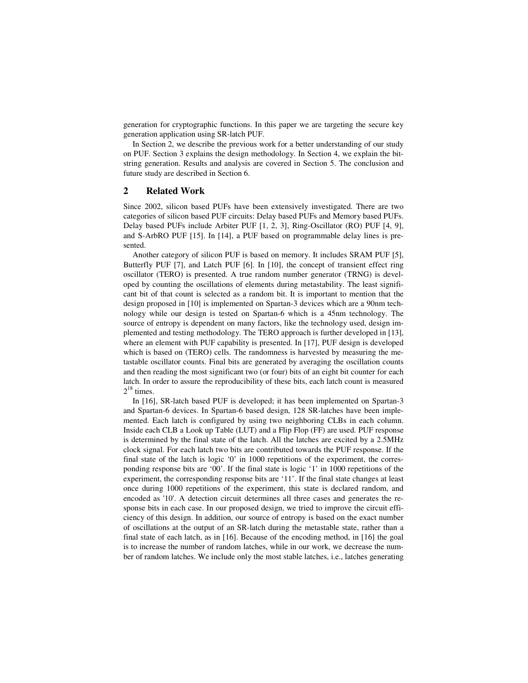generation for cryptographic functions. In this paper we are targeting the secure key generation application using SR-latch PUF.

In Section 2, we describe the previous work for a better understanding of our study on PUF. Section 3 explains the design methodology. In Section 4, we explain the bitstring generation. Results and analysis are covered in Section 5. The conclusion and future study are described in Section 6.

### **2 Related Work**

Since 2002, silicon based PUFs have been extensively investigated. There are two categories of silicon based PUF circuits: Delay based PUFs and Memory based PUFs. Delay based PUFs include Arbiter PUF [1, 2, 3], Ring-Oscillator (RO) PUF [4, 9], and S-ArbRO PUF [15]. In [14], a PUF based on programmable delay lines is presented.

Another category of silicon PUF is based on memory. It includes SRAM PUF [5], Butterfly PUF [7], and Latch PUF [6]. In [10], the concept of transient effect ring oscillator (TERO) is presented. A true random number generator (TRNG) is developed by counting the oscillations of elements during metastability. The least significant bit of that count is selected as a random bit. It is important to mention that the design proposed in [10] is implemented on Spartan-3 devices which are a 90nm technology while our design is tested on Spartan-6 which is a 45nm technology. The source of entropy is dependent on many factors, like the technology used, design implemented and testing methodology. The TERO approach is further developed in [13], where an element with PUF capability is presented. In [17], PUF design is developed which is based on (TERO) cells. The randomness is harvested by measuring the metastable oscillator counts. Final bits are generated by averaging the oscillation counts and then reading the most significant two (or four) bits of an eight bit counter for each latch. In order to assure the reproducibility of these bits, each latch count is measured  $2^{18}$  times.

In [16], SR-latch based PUF is developed; it has been implemented on Spartan-3 and Spartan-6 devices. In Spartan-6 based design, 128 SR-latches have been implemented. Each latch is configured by using two neighboring CLBs in each column. Inside each CLB a Look up Table (LUT) and a Flip Flop (FF) are used. PUF response is determined by the final state of the latch. All the latches are excited by a 2.5MHz clock signal. For each latch two bits are contributed towards the PUF response. If the final state of the latch is logic '0' in 1000 repetitions of the experiment, the corresponding response bits are '00'. If the final state is logic '1' in 1000 repetitions of the experiment, the corresponding response bits are '11'. If the final state changes at least once during 1000 repetitions of the experiment, this state is declared random, and encoded as '10'. A detection circuit determines all three cases and generates the response bits in each case. In our proposed design, we tried to improve the circuit efficiency of this design. In addition, our source of entropy is based on the exact number of oscillations at the output of an SR-latch during the metastable state, rather than a final state of each latch, as in [16]. Because of the encoding method, in [16] the goal is to increase the number of random latches, while in our work, we decrease the number of random latches. We include only the most stable latches, i.e., latches generating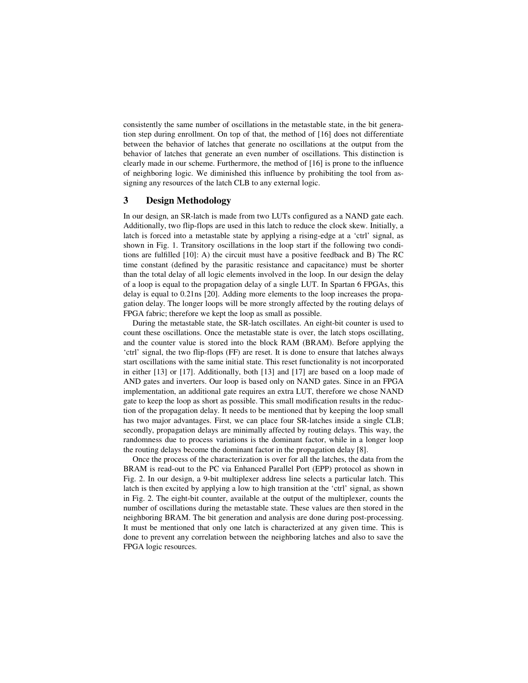consistently the same number of oscillations in the metastable state, in the bit generation step during enrollment. On top of that, the method of [16] does not differentiate between the behavior of latches that generate no oscillations at the output from the behavior of latches that generate an even number of oscillations. This distinction is clearly made in our scheme. Furthermore, the method of [16] is prone to the influence of neighboring logic. We diminished this influence by prohibiting the tool from assigning any resources of the latch CLB to any external logic.

## **3 Design Methodology**

In our design, an SR-latch is made from two LUTs configured as a NAND gate each. Additionally, two flip-flops are used in this latch to reduce the clock skew. Initially, a latch is forced into a metastable state by applying a rising-edge at a 'ctrl' signal, as shown in Fig. 1. Transitory oscillations in the loop start if the following two conditions are fulfilled [10]: A) the circuit must have a positive feedback and B) The RC time constant (defined by the parasitic resistance and capacitance) must be shorter than the total delay of all logic elements involved in the loop. In our design the delay of a loop is equal to the propagation delay of a single LUT. In Spartan 6 FPGAs, this delay is equal to 0.21ns [20]. Adding more elements to the loop increases the propagation delay. The longer loops will be more strongly affected by the routing delays of FPGA fabric; therefore we kept the loop as small as possible.

During the metastable state, the SR-latch oscillates. An eight-bit counter is used to count these oscillations. Once the metastable state is over, the latch stops oscillating, and the counter value is stored into the block RAM (BRAM). Before applying the 'ctrl' signal, the two flip-flops (FF) are reset. It is done to ensure that latches always start oscillations with the same initial state. This reset functionality is not incorporated in either [13] or [17]. Additionally, both [13] and [17] are based on a loop made of AND gates and inverters. Our loop is based only on NAND gates. Since in an FPGA implementation, an additional gate requires an extra LUT, therefore we chose NAND gate to keep the loop as short as possible. This small modification results in the reduction of the propagation delay. It needs to be mentioned that by keeping the loop small has two major advantages. First, we can place four SR-latches inside a single CLB; secondly, propagation delays are minimally affected by routing delays. This way, the randomness due to process variations is the dominant factor, while in a longer loop the routing delays become the dominant factor in the propagation delay [8].

Once the process of the characterization is over for all the latches, the data from the BRAM is read-out to the PC via Enhanced Parallel Port (EPP) protocol as shown in Fig. 2. In our design, a 9-bit multiplexer address line selects a particular latch. This latch is then excited by applying a low to high transition at the 'ctrl' signal, as shown in Fig. 2. The eight-bit counter, available at the output of the multiplexer, counts the number of oscillations during the metastable state. These values are then stored in the neighboring BRAM. The bit generation and analysis are done during post-processing. It must be mentioned that only one latch is characterized at any given time. This is done to prevent any correlation between the neighboring latches and also to save the FPGA logic resources.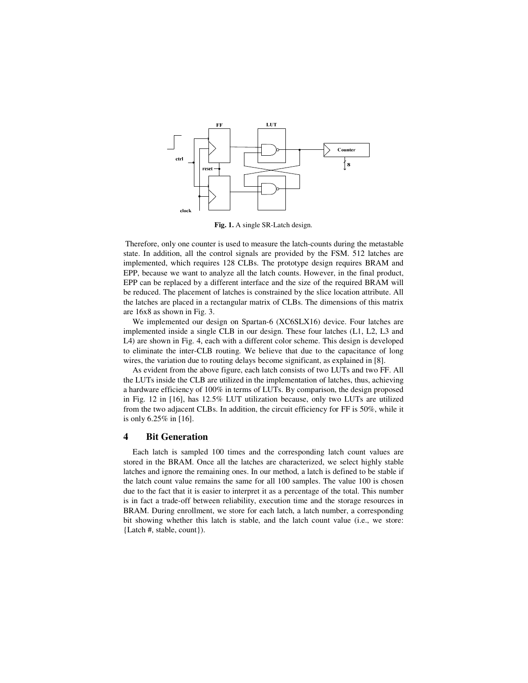

**Fig. 1.** A single SR-Latch design.

 Therefore, only one counter is used to measure the latch-counts during the metastable state. In addition, all the control signals are provided by the FSM. 512 latches are implemented, which requires 128 CLBs. The prototype design requires BRAM and EPP, because we want to analyze all the latch counts. However, in the final product, EPP can be replaced by a different interface and the size of the required BRAM will be reduced. The placement of latches is constrained by the slice location attribute. All the latches are placed in a rectangular matrix of CLBs. The dimensions of this matrix are 16x8 as shown in Fig. 3.

We implemented our design on Spartan-6 (XC6SLX16) device. Four latches are implemented inside a single CLB in our design. These four latches (L1, L2, L3 and L4) are shown in Fig. 4, each with a different color scheme. This design is developed to eliminate the inter-CLB routing. We believe that due to the capacitance of long wires, the variation due to routing delays become significant, as explained in [8].

As evident from the above figure, each latch consists of two LUTs and two FF. All the LUTs inside the CLB are utilized in the implementation of latches, thus, achieving a hardware efficiency of 100% in terms of LUTs. By comparison, the design proposed in Fig. 12 in [16], has 12.5% LUT utilization because, only two LUTs are utilized from the two adjacent CLBs. In addition, the circuit efficiency for FF is 50%, while it is only 6.25% in [16].

## **4 Bit Generation**

Each latch is sampled 100 times and the corresponding latch count values are stored in the BRAM. Once all the latches are characterized, we select highly stable latches and ignore the remaining ones. In our method, a latch is defined to be stable if the latch count value remains the same for all 100 samples. The value 100 is chosen due to the fact that it is easier to interpret it as a percentage of the total. This number is in fact a trade-off between reliability, execution time and the storage resources in BRAM. During enrollment, we store for each latch, a latch number, a corresponding bit showing whether this latch is stable, and the latch count value (i.e., we store: {Latch #, stable, count}).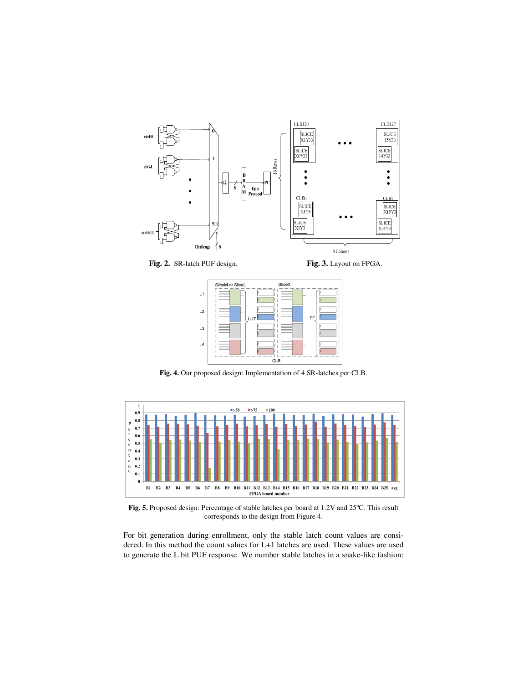

Fig. 2. SR-latch PUF design. Fig. 3. Layout on FPGA.



**Fig. 4.** Our proposed design: Implementation of 4 SR-latches per CLB.



**Fig. 5.** Proposed design: Percentage of stable latches per board at 1.2V and 25ºC. This result corresponds to the design from Figure 4.

For bit generation during enrollment, only the stable latch count values are considered. In this method the count values for L+1 latches are used. These values are used to generate the L bit PUF response. We number stable latches in a snake-like fashion: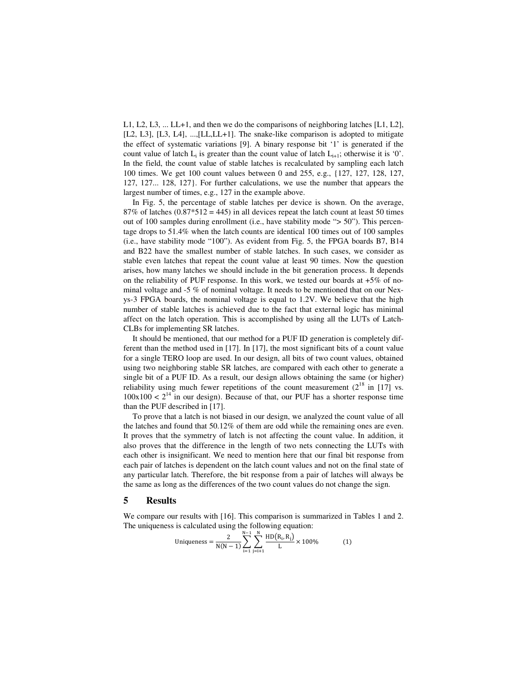L1, L2, L3, ... LL+1, and then we do the comparisons of neighboring latches [L1, L2], [L2, L3], [L3, L4], ...,[LL,LL+1]. The snake-like comparison is adopted to mitigate the effect of systematic variations [9]. A binary response bit '1' is generated if the count value of latch  $L_i$  is greater than the count value of latch  $L_{i+1}$ ; otherwise it is '0'. In the field, the count value of stable latches is recalculated by sampling each latch 100 times. We get 100 count values between 0 and 255, e.g., {127, 127, 128, 127, 127, 127... 128, 127}. For further calculations, we use the number that appears the largest number of times, e.g., 127 in the example above.

In Fig. 5, the percentage of stable latches per device is shown. On the average, 87% of latches  $(0.87*512 = 445)$  in all devices repeat the latch count at least 50 times out of 100 samples during enrollment (i.e., have stability mode "> 50"). This percentage drops to 51.4% when the latch counts are identical 100 times out of 100 samples (i.e., have stability mode "100"). As evident from Fig. 5, the FPGA boards B7, B14 and B22 have the smallest number of stable latches. In such cases, we consider as stable even latches that repeat the count value at least 90 times. Now the question arises, how many latches we should include in the bit generation process. It depends on the reliability of PUF response. In this work, we tested our boards at  $+5\%$  of nominal voltage and -5 % of nominal voltage. It needs to be mentioned that on our Nexys-3 FPGA boards, the nominal voltage is equal to 1.2V. We believe that the high number of stable latches is achieved due to the fact that external logic has minimal affect on the latch operation. This is accomplished by using all the LUTs of Latch-CLBs for implementing SR latches.

It should be mentioned, that our method for a PUF ID generation is completely different than the method used in [17]. In [17], the most significant bits of a count value for a single TERO loop are used. In our design, all bits of two count values, obtained using two neighboring stable SR latches, are compared with each other to generate a single bit of a PUF ID. As a result, our design allows obtaining the same (or higher) reliability using much fewer repetitions of the count measurement  $(2^{18}$  in [17] vs.  $100x100 < 2^{14}$  in our design). Because of that, our PUF has a shorter response time than the PUF described in [17].

To prove that a latch is not biased in our design, we analyzed the count value of all the latches and found that 50.12% of them are odd while the remaining ones are even. It proves that the symmetry of latch is not affecting the count value. In addition, it also proves that the difference in the length of two nets connecting the LUTs with each other is insignificant. We need to mention here that our final bit response from each pair of latches is dependent on the latch count values and not on the final state of any particular latch. Therefore, the bit response from a pair of latches will always be the same as long as the differences of the two count values do not change the sign.

# **5 Results**

We compare our results with [16]. This comparison is summarized in Tables 1 and 2. The uniqueness is calculated using the following equation:

Uniqueness = 
$$
\frac{2}{N(N-1)} \sum_{i=1}^{N-1} \sum_{j=i+1}^{N} \frac{HD(R_i, R_j)}{L} \times 100\%
$$
 (1)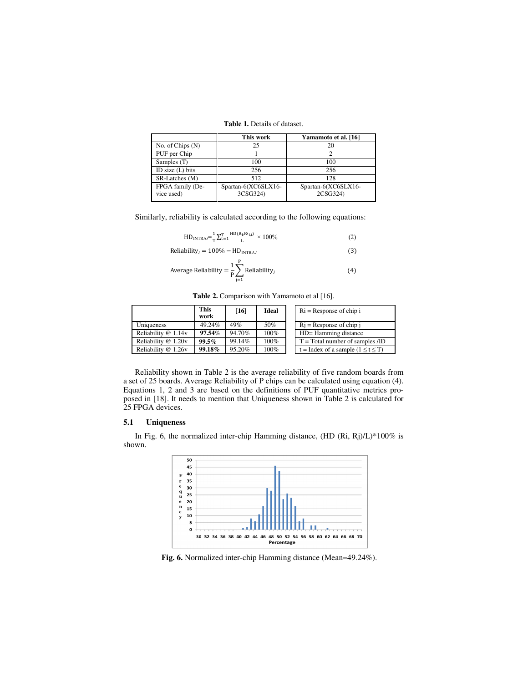| <b>Table 1.</b> Details of dataset. |  |
|-------------------------------------|--|
|-------------------------------------|--|

|                                | This work                       | Yamamoto et al. [16]            |
|--------------------------------|---------------------------------|---------------------------------|
| No. of Chips $(N)$             | 25                              | 20                              |
| PUF per Chip                   |                                 |                                 |
| Samples (T)                    | 100                             | 100                             |
| ID size $(L)$ bits             | 256                             | 256                             |
| SR-Latches (M)                 | 512                             | 128                             |
| FPGA family (De-<br>vice used) | Spartan-6(XC6SLX16-<br>3CSG324) | Spartan-6(XC6SLX16-<br>2CSG324) |

Similarly, reliability is calculated according to the following equations:

$$
HD_{INTRA} = \frac{1}{T} \sum_{t=1}^{T} \frac{HD(R_i, R_l_{i,t})}{L} \times 100\%
$$
 (2)

$$
Reliability_i = 100\% - HD_{INTRAi}
$$
 (3)

Average Reliability = 
$$
\frac{1}{P} \sum_{j=1}^{P}
$$
 Reliability<sub>j</sub> (4)

Table 2. Comparison with Yamamoto et al [16].

|                     | <b>This</b><br>work | [16]   | <b>Ideal</b> | $\text{Ri}$ = Response of chip i          |
|---------------------|---------------------|--------|--------------|-------------------------------------------|
| Uniqueness          | 49.24%              | 49%    | 50%          | $Ri$ = Response of chip i                 |
| Reliability @ 1.14v | 97.54%              | 94.70% | 100%         | HD= Hamming distance                      |
| Reliability @ 1.20v | 99.5%               | 99.14% | 100%         | $T = Total number of samples /ID$         |
| Reliability @ 1.26v | 99.18%              | 95.20% | 100%         | $t = Index$ of a sample $(1 \le t \le T)$ |

Reliability shown in Table 2 is the average reliability of five random boards from a set of 25 boards. Average Reliability of P chips can be calculated using equation (4). Equations 1, 2 and 3 are based on the definitions of PUF quantitative metrics proposed in [18]. It needs to mention that Uniqueness shown in Table 2 is calculated for 25 FPGA devices.

# **5.1 Uniqueness**

In Fig. 6, the normalized inter-chip Hamming distance, (HD (Ri, Rj)/L)\*100% is shown.



**Fig. 6.** Normalized inter-chip Hamming distance (Mean=49.24%).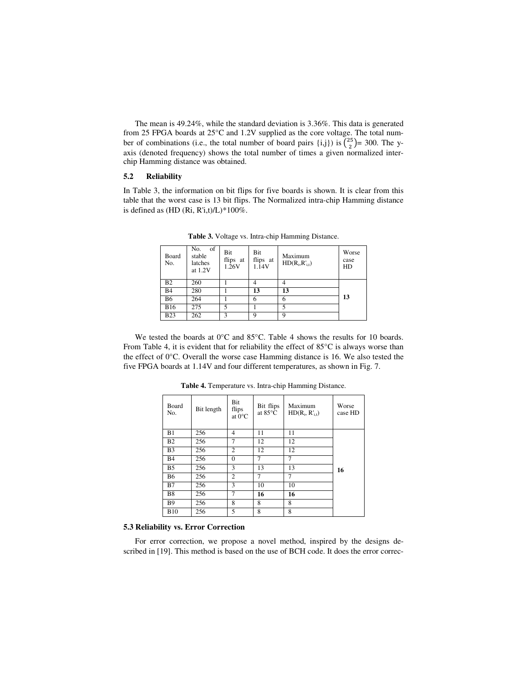The mean is 49.24%, while the standard deviation is 3.36%. This data is generated from 25 FPGA boards at 25°C and 1.2V supplied as the core voltage. The total number of combinations (i.e., the total number of board pairs {i,j}) is  $\binom{25}{2} = 300$ . The yaxis (denoted frequency) shows the total number of times a given normalized interchip Hamming distance was obtained.

### **5.2 Reliability**

In Table 3, the information on bit flips for five boards is shown. It is clear from this table that the worst case is 13 bit flips. The Normalized intra-chip Hamming distance is defined as  $(HD (Ri, R'i,t)/L)*100\%.$ 

| <b>Board</b><br>No. | No.<br>of<br>stable<br>latches<br>at 1.2V | Bit<br>flips at<br>1.26V | Bit<br>flips at<br>1.14V | Maximum<br>$HD(R_i, R'_{i,t})$ | Worse<br>case<br>HD |
|---------------------|-------------------------------------------|--------------------------|--------------------------|--------------------------------|---------------------|
| B <sub>2</sub>      | 260                                       |                          |                          |                                |                     |
| B <sub>4</sub>      | 280                                       |                          | 13                       | 13                             |                     |
| <b>B6</b>           | 264                                       |                          | 6                        | 6                              | 13                  |
| <b>B16</b>          | 275                                       | 5                        |                          | 5                              |                     |
| <b>B23</b>          | 262                                       | 3                        | Q                        | Q                              |                     |

**Table 3.** Voltage vs. Intra-chip Hamming Distance.

We tested the boards at 0°C and 85°C. Table 4 shows the results for 10 boards. From Table 4, it is evident that for reliability the effect of 85°C is always worse than the effect of 0°C. Overall the worse case Hamming distance is 16. We also tested the five FPGA boards at 1.14V and four different temperatures, as shown in Fig. 7.

| Board<br>No.   | Bit length | Bit<br>flips<br>at $0^{\circ}$ C | Bit flips<br>at $85^{\circ}$ C | Maximum<br>HD(R <sub>i</sub> , R' <sub>i,t</sub> ) | Worse<br>case HD |
|----------------|------------|----------------------------------|--------------------------------|----------------------------------------------------|------------------|
| B1             | 256        | $\overline{4}$                   | 11                             | 11                                                 |                  |
| B <sub>2</sub> | 256        | 7                                | 12                             | 12                                                 |                  |
| B <sub>3</sub> | 256        | $\overline{c}$                   | 12                             | 12                                                 |                  |
| <b>B4</b>      | 256        | $\theta$                         | 7                              | 7                                                  |                  |
| B <sub>5</sub> | 256        | 3                                | 13                             | 13                                                 | 16               |
| <b>B6</b>      | 256        | $\overline{c}$                   | 7                              | 7                                                  |                  |
| B7             | 256        | 3                                | 10                             | 10                                                 |                  |
| <b>B8</b>      | 256        | 7                                | 16                             | 16                                                 |                  |
| <b>B</b> 9     | 256        | 8                                | 8                              | 8                                                  |                  |
| <b>B10</b>     | 256        | 5                                | 8                              | 8                                                  |                  |

**Table 4.** Temperature vs. Intra-chip Hamming Distance.

#### **5.3 Reliability vs. Error Correction**

For error correction, we propose a novel method, inspired by the designs described in [19]. This method is based on the use of BCH code. It does the error correc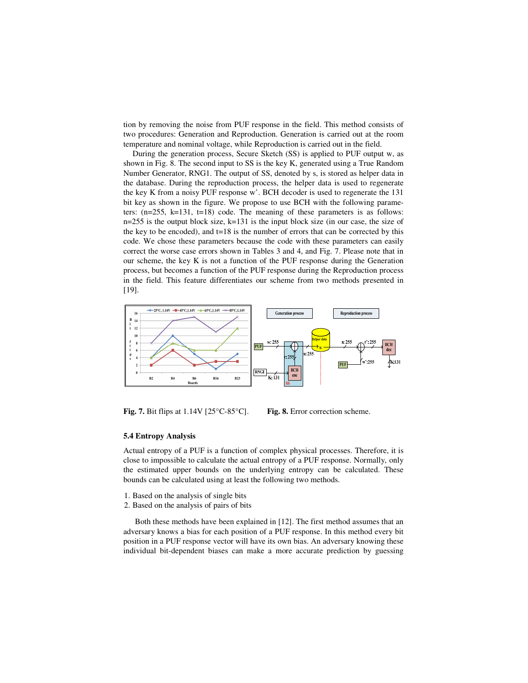tion by removing the noise from PUF response in the field. This method consists of two procedures: Generation and Reproduction. Generation is carried out at the room temperature and nominal voltage, while Reproduction is carried out in the field.

During the generation process, Secure Sketch (SS) is applied to PUF output w, as shown in Fig. 8. The second input to SS is the key K, generated using a True Random Number Generator, RNG1. The output of SS, denoted by s, is stored as helper data in the database. During the reproduction process, the helper data is used to regenerate the key K from a noisy PUF response w'. BCH decoder is used to regenerate the 131 bit key as shown in the figure. We propose to use BCH with the following parameters:  $(n=255, k=131, t=18)$  code. The meaning of these parameters is as follows: n=255 is the output block size, k=131 is the input block size (in our case, the size of the key to be encoded), and  $t=18$  is the number of errors that can be corrected by this code. We chose these parameters because the code with these parameters can easily correct the worse case errors shown in Tables 3 and 4, and Fig. 7. Please note that in our scheme, the key K is not a function of the PUF response during the Generation process, but becomes a function of the PUF response during the Reproduction process in the field. This feature differentiates our scheme from two methods presented in [19].



**Fig. 7.** Bit flips at 1.14V [25°C-85°C]. **Fig. 8.** Error correction scheme.

#### **5.4 Entropy Analysis**

Actual entropy of a PUF is a function of complex physical processes. Therefore, it is close to impossible to calculate the actual entropy of a PUF response. Normally, only the estimated upper bounds on the underlying entropy can be calculated. These bounds can be calculated using at least the following two methods.

- 1. Based on the analysis of single bits
- 2. Based on the analysis of pairs of bits

Both these methods have been explained in [12]. The first method assumes that an adversary knows a bias for each position of a PUF response. In this method every bit position in a PUF response vector will have its own bias. An adversary knowing these individual bit-dependent biases can make a more accurate prediction by guessing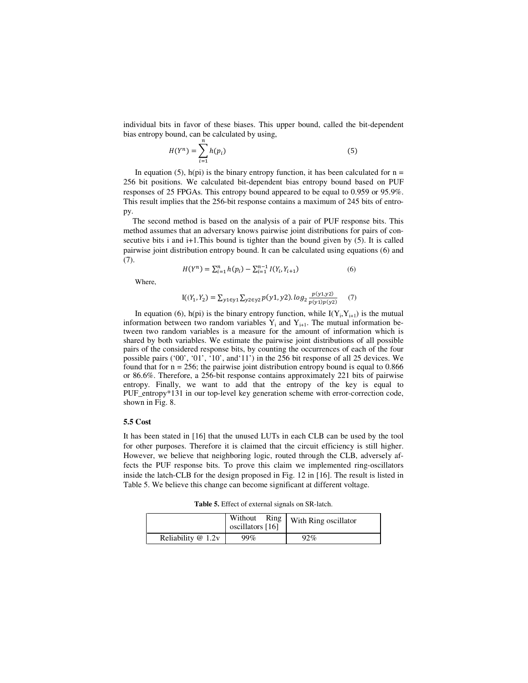individual bits in favor of these biases. This upper bound, called the bit-dependent bias entropy bound, can be calculated by using,

$$
H(Y^n) = \sum_{i=1}^n h(p_i) \tag{5}
$$

In equation (5), h(pi) is the binary entropy function, it has been calculated for  $n =$ 256 bit positions. We calculated bit-dependent bias entropy bound based on PUF responses of 25 FPGAs. This entropy bound appeared to be equal to 0.959 or 95.9%. This result implies that the 256-bit response contains a maximum of 245 bits of entropy.

The second method is based on the analysis of a pair of PUF response bits. This method assumes that an adversary knows pairwise joint distributions for pairs of consecutive bits i and i+1.This bound is tighter than the bound given by (5). It is called pairwise joint distribution entropy bound. It can be calculated using equations (6) and (7).

$$
H(Y^n) = \sum_{i=1}^n h(p_i) - \sum_{i=1}^{n-1} I(Y_i, Y_{i+1})
$$
\n(6)

Where,

$$
I((Y_1, Y_2) = \sum_{y1 \in y1} \sum_{y2 \in y2} p(y1, y2). \log_2 \frac{p(y1, y2)}{p(y1)p(y2)}\tag{7}
$$

In equation (6), h(pi) is the binary entropy function, while  $I(Y_i, Y_{i+1})$  is the mutual information between two random variables  $Y_i$  and  $Y_{i+1}$ . The mutual information between two random variables is a measure for the amount of information which is shared by both variables. We estimate the pairwise joint distributions of all possible pairs of the considered response bits, by counting the occurrences of each of the four possible pairs ('00', '01', '10', and'11') in the 256 bit response of all 25 devices. We found that for  $n = 256$ ; the pairwise joint distribution entropy bound is equal to 0.866 or 86.6%. Therefore, a 256-bit response contains approximately 221 bits of pairwise entropy. Finally, we want to add that the entropy of the key is equal to PUF\_entropy\*131 in our top-level key generation scheme with error-correction code, shown in Fig. 8.

#### **5.5 Cost**

It has been stated in [16] that the unused LUTs in each CLB can be used by the tool for other purposes. Therefore it is claimed that the circuit efficiency is still higher. However, we believe that neighboring logic, routed through the CLB, adversely affects the PUF response bits. To prove this claim we implemented ring-oscillators inside the latch-CLB for the design proposed in Fig. 12 in [16]. The result is listed in Table 5. We believe this change can become significant at different voltage.

**Table 5.** Effect of external signals on SR-latch.

|                     | Without<br>Ring<br>oscillators [16] | With Ring oscillator |
|---------------------|-------------------------------------|----------------------|
| Reliability $@1.2v$ | 99%                                 | $92\%$               |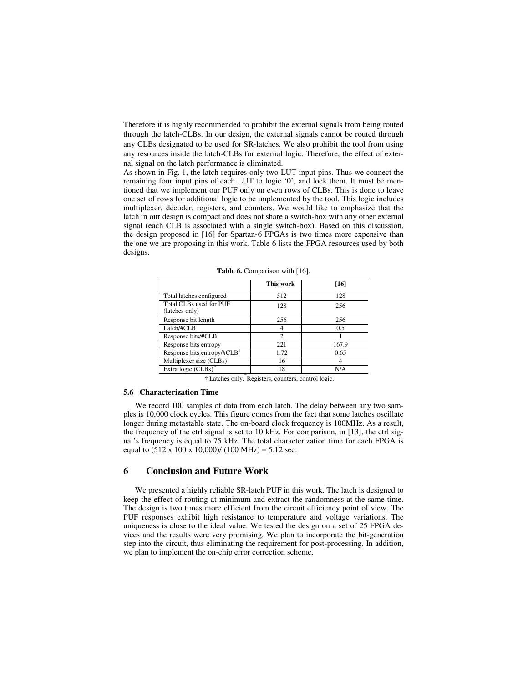Therefore it is highly recommended to prohibit the external signals from being routed through the latch-CLBs. In our design, the external signals cannot be routed through any CLBs designated to be used for SR-latches. We also prohibit the tool from using any resources inside the latch-CLBs for external logic. Therefore, the effect of external signal on the latch performance is eliminated.

As shown in Fig. 1, the latch requires only two LUT input pins. Thus we connect the remaining four input pins of each LUT to logic '0', and lock them. It must be mentioned that we implement our PUF only on even rows of CLBs. This is done to leave one set of rows for additional logic to be implemented by the tool. This logic includes multiplexer, decoder, registers, and counters. We would like to emphasize that the latch in our design is compact and does not share a switch-box with any other external signal (each CLB is associated with a single switch-box). Based on this discussion, the design proposed in [16] for Spartan-6 FPGAs is two times more expensive than the one we are proposing in this work. Table 6 lists the FPGA resources used by both designs.

|                                           | This work      | [16]  |
|-------------------------------------------|----------------|-------|
| Total latches configured                  | 512            | 128   |
| Total CLBs used for PUF<br>(latches only) | 128            | 256   |
| Response bit length                       | 256            | 256   |
| Latch/#CLB                                | 4              | 0.5   |
| Response bits/#CLB                        | $\mathfrak{D}$ |       |
| Response bits entropy                     | 221            | 167.9 |
| Response bits entropy/#CLB <sup>+</sup>   | 1.72           | 0.65  |
| Multiplexer size (CLBs)                   | 16             |       |
| Extra logic $(CLBs)$ <sup>*</sup><br>×    | 18             | N/A   |

Table 6. Comparison with [16].

† Latches only.\* Registers, counters, control logic.

#### **5.6 Characterization Time**

We record 100 samples of data from each latch. The delay between any two samples is 10,000 clock cycles. This figure comes from the fact that some latches oscillate longer during metastable state. The on-board clock frequency is 100MHz. As a result, the frequency of the ctrl signal is set to 10 kHz. For comparison, in [13], the ctrl signal's frequency is equal to 75 kHz. The total characterization time for each FPGA is equal to  $(512 \times 100 \times 10,000)$ /  $(100 \text{ MHz}) = 5.12 \text{ sec.}$ 

#### **6 Conclusion and Future Work**

We presented a highly reliable SR-latch PUF in this work. The latch is designed to keep the effect of routing at minimum and extract the randomness at the same time. The design is two times more efficient from the circuit efficiency point of view. The PUF responses exhibit high resistance to temperature and voltage variations. The uniqueness is close to the ideal value. We tested the design on a set of 25 FPGA devices and the results were very promising. We plan to incorporate the bit-generation step into the circuit, thus eliminating the requirement for post-processing. In addition, we plan to implement the on-chip error correction scheme.